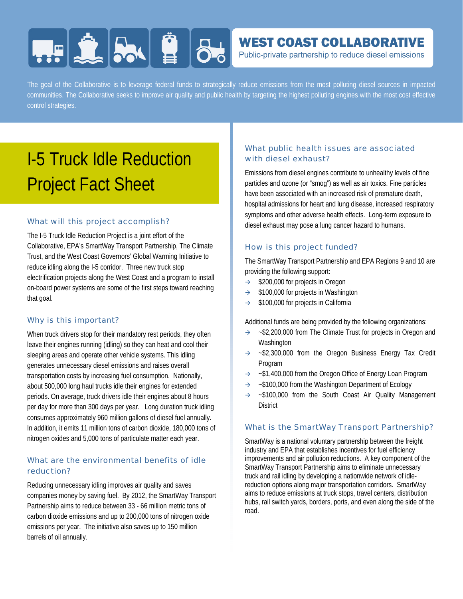# **HERE AND BUSIC**

### **WEST COAST COLLABORATIVE**

Public-private partnership to reduce diesel emissions

The goal of the Collaborative is to leverage federal funds to strategically reduce emissions from the most polluting diesel sources in impacted communities. The Collaborative seeks to improve air quality and public health by targeting the highest polluting engines with the most cost effective control strategies.

## I-5 Truck Idle Reduction Project Fact Sheet

#### What will this project accomplish?

The I-5 Truck Idle Reduction Project is a joint effort of the Collaborative, EPA's SmartWay Transport Partnership, The Climate Trust, and the West Coast Governors' Global Warming Initiative to reduce idling along the I-5 corridor. Three new truck stop electrification projects along the West Coast and a program to install on-board power systems are some of the first steps toward reaching that goal.

#### Why is this important?

When truck drivers stop for their mandatory rest periods, they often leave their engines running (idling) so they can heat and cool their sleeping areas and operate other vehicle systems. This idling generates unnecessary diesel emissions and raises overall transportation costs by increasing fuel consumption. Nationally, about 500,000 long haul trucks idle their engines for extended periods. On average, truck drivers idle their engines about 8 hours per day for more than 300 days per year. Long duration truck idling consumes approximately 960 million gallons of diesel fuel annually. In addition, it emits 11 million tons of carbon dioxide, 180,000 tons of nitrogen oxides and 5,000 tons of particulate matter each year.

#### What are the environmental benefits of idle reduction?

Reducing unnecessary idling improves air quality and saves companies money by saving fuel. By 2012, the SmartWay Transport Partnership aims to reduce between 33 - 66 million metric tons of carbon dioxide emissions and up to 200,000 tons of nitrogen oxide emissions per year. The initiative also saves up to 150 million barrels of oil annually.

#### What public health issues are associated with diesel exhaust?

Emissions from diesel engines contribute to unhealthy levels of fine particles and ozone (or "smog") as well as air toxics. Fine particles have been associated with an increased risk of premature death, hospital admissions for heart and lung disease, increased respiratory symptoms and other adverse health effects. Long-term exposure to diesel exhaust may pose a lung cancer hazard to humans.

#### How is this project funded?

The SmartWay Transport Partnership and EPA Regions 9 and 10 are providing the following support:

- $\rightarrow$  \$200,000 for projects in Oregon
- $\rightarrow$  \$100,000 for projects in Washington
- $\rightarrow$  \$100,000 for projects in California

Additional funds are being provided by the following organizations:

- $\rightarrow$  ~\$2,200,000 from The Climate Trust for projects in Oregon and **Washington**
- $\rightarrow$  ~\$2,300,000 from the Oregon Business Energy Tax Credit Program
- $\rightarrow$  ~\$1,400,000 from the Oregon Office of Energy Loan Program
- $\rightarrow$  ~\$100,000 from the Washington Department of Ecology
- $\rightarrow$  ~\$100,000 from the South Coast Air Quality Management **District**

#### What is the SmartWay Transport Partnership?

SmartWay is a national voluntary partnership between the freight industry and EPA that establishes incentives for fuel efficiency improvements and air pollution reductions. A key component of the SmartWay Transport Partnership aims to eliminate unnecessary truck and rail idling by developing a nationwide network of idlereduction options along major transportation corridors. SmartWay aims to reduce emissions at truck stops, travel centers, distribution hubs, rail switch yards, borders, ports, and even along the side of the road.